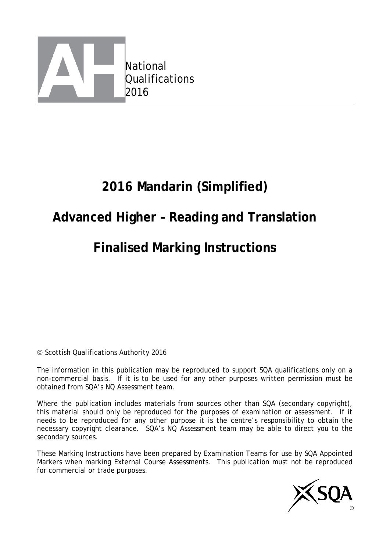

# **2016 Mandarin (Simplified)**

## **Advanced Higher – Reading and Translation**

# **Finalised Marking Instructions**

© Scottish Qualifications Authority 2016

The information in this publication may be reproduced to support SQA qualifications only on a non-commercial basis. If it is to be used for any other purposes written permission must be obtained from SQA's NQ Assessment team.

Where the publication includes materials from sources other than SQA (secondary copyright), this material should only be reproduced for the purposes of examination or assessment. If it needs to be reproduced for any other purpose it is the centre's responsibility to obtain the necessary copyright clearance. SQA's NQ Assessment team may be able to direct you to the secondary sources.

These Marking Instructions have been prepared by Examination Teams for use by SQA Appointed Markers when marking External Course Assessments. This publication must not be reproduced for commercial or trade purposes.

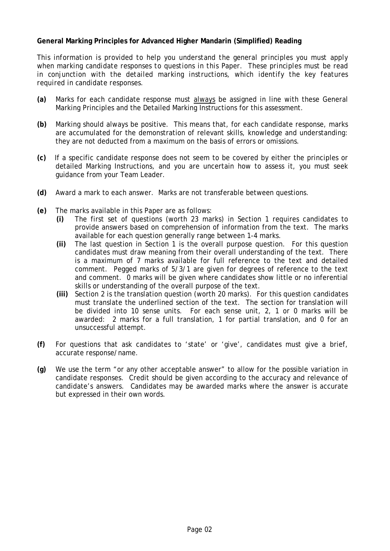#### **General Marking Principles for Advanced Higher Mandarin (Simplified) Reading**

*This information is provided to help you understand the general principles you must apply when marking candidate responses to questions in this Paper. These principles must be read in conjunction with the detailed marking instructions, which identify the key features required in candidate responses.*

- **(a)** Marks for each candidate response must always be assigned in line with these General Marking Principles and the Detailed Marking Instructions for this assessment.
- **(b)** Marking should always be positive. This means that, for each candidate response, marks are accumulated for the demonstration of relevant skills, knowledge and understanding: they are not deducted from a maximum on the basis of errors or omissions.
- **(c)** If a specific candidate response does not seem to be covered by either the principles or detailed Marking Instructions, and you are uncertain how to assess it, you must seek guidance from your Team Leader.
- **(d)** Award a mark to each answer. Marks are not transferable between questions.
- **(e)** The marks available in this Paper are as follows:
	- **(i)** The first set of questions (worth 23 marks) in Section 1 requires candidates to provide answers based on comprehension of information from the text. The marks available for each question generally range between 1-4 marks.
	- **(ii)** The last question in Section 1 is the overall purpose question. For this question candidates must draw meaning from their overall understanding of the text. There is a maximum of 7 marks available for full reference to the text and detailed comment. Pegged marks of 5/3/1 are given for degrees of reference to the text and comment. 0 marks will be given where candidates show little or no inferential skills or understanding of the overall purpose of the text.
	- **(iii)** Section 2 is the translation question (worth 20 marks). For this question candidates must translate the underlined section of the text. The section for translation will be divided into 10 sense units. For each sense unit, 2, 1 or 0 marks will be awarded: 2 marks for a full translation, 1 for partial translation, and 0 for an unsuccessful attempt.
- **(f)** For questions that ask candidates to 'state' or 'give', candidates must give a brief, accurate response/name.
- **(g)** We use the term "or any other acceptable answer" to allow for the possible variation in candidate responses. Credit should be given according to the accuracy and relevance of candidate's answers. Candidates may be awarded marks where the answer is accurate but expressed in their own words.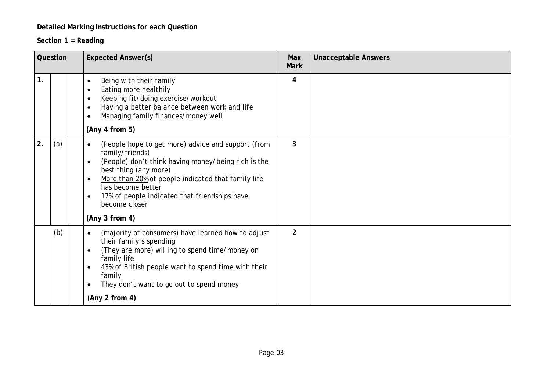### **Detailed Marking Instructions for each Question**

### **Section 1 = Reading**

| Question |     | <b>Expected Answer(s)</b>                                                                                                                                                                                                                                                                                                                                                | Max<br><b>Mark</b> | <b>Unacceptable Answers</b> |
|----------|-----|--------------------------------------------------------------------------------------------------------------------------------------------------------------------------------------------------------------------------------------------------------------------------------------------------------------------------------------------------------------------------|--------------------|-----------------------------|
| 1.       |     | Being with their family<br>$\bullet$<br>Eating more healthily<br>$\bullet$<br>Keeping fit/doing exercise/workout<br>$\bullet$<br>Having a better balance between work and life<br>$\bullet$<br>Managing family finances/money well<br>$\bullet$<br>(Any 4 from 5)                                                                                                        | 4                  |                             |
| 2.       | (a) | (People hope to get more) advice and support (from<br>$\bullet$<br>family/friends)<br>(People) don't think having money/being rich is the<br>$\bullet$<br>best thing (any more)<br>More than 20% of people indicated that family life<br>$\bullet$<br>has become better<br>17% of people indicated that friendships have<br>$\bullet$<br>become closer<br>(Any 3 from 4) | $\mathbf{3}$       |                             |
|          | (b) | (majority of consumers) have learned how to adjust<br>$\bullet$<br>their family's spending<br>(They are more) willing to spend time/money on<br>$\bullet$<br>family life<br>43% of British people want to spend time with their<br>$\bullet$<br>family<br>They don't want to go out to spend money<br>$\bullet$<br>(Any 2 from 4)                                        | $\overline{2}$     |                             |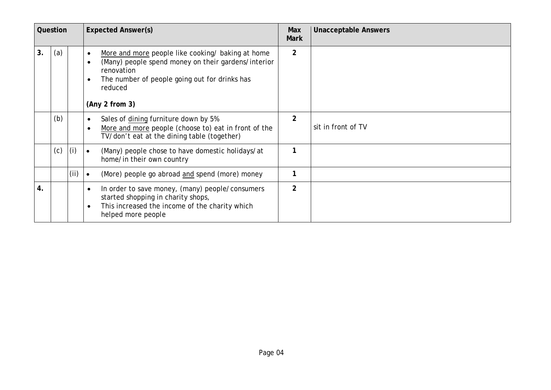|    | Question         |     | <b>Expected Answer(s)</b>                                                                                                                                                                                         |                | <b>Unacceptable Answers</b> |
|----|------------------|-----|-------------------------------------------------------------------------------------------------------------------------------------------------------------------------------------------------------------------|----------------|-----------------------------|
| 3. | (a)              |     | More and more people like cooking/ baking at home<br>(Many) people spend money on their gardens/interior<br>$\bullet$<br>renovation<br>The number of people going out for drinks has<br>reduced<br>(Any 2 from 3) |                |                             |
|    | (b)              |     | Sales of dining furniture down by 5%<br>$\bullet$<br>More and more people (choose to) eat in front of the<br>TV/don't eat at the dining table (together)                                                          | $\overline{2}$ | sit in front of TV          |
|    | (c)              | (i) | (Many) people chose to have domestic holidays/at<br>$\bullet$<br>home/in their own country                                                                                                                        |                |                             |
|    | (i)<br>$\bullet$ |     | (More) people go abroad and spend (more) money                                                                                                                                                                    | 1              |                             |
| 4. |                  |     | In order to save money, (many) people/consumers<br>$\bullet$<br>started shopping in charity shops,<br>This increased the income of the charity which<br>$\bullet$<br>helped more people                           | $\overline{2}$ |                             |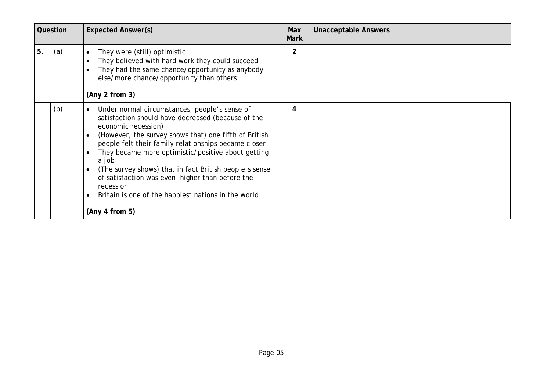|    | Question |  | <b>Expected Answer(s)</b>                                                                                                                                                                                                                                                                                                                                                                                                                                                                                                               | Max<br><b>Mark</b> | <b>Unacceptable Answers</b> |
|----|----------|--|-----------------------------------------------------------------------------------------------------------------------------------------------------------------------------------------------------------------------------------------------------------------------------------------------------------------------------------------------------------------------------------------------------------------------------------------------------------------------------------------------------------------------------------------|--------------------|-----------------------------|
| 5. | (a)      |  | They were (still) optimistic<br>$\bullet$<br>They believed with hard work they could succeed<br>They had the same chance/opportunity as anybody<br>else/more chance/opportunity than others<br>(Any 2 from 3)                                                                                                                                                                                                                                                                                                                           | $\overline{2}$     |                             |
|    | (b)      |  | Under normal circumstances, people's sense of<br>$\bullet$<br>satisfaction should have decreased (because of the<br>economic recession)<br>(However, the survey shows that) one fifth of British<br>$\bullet$<br>people felt their family relationships became closer<br>They became more optimistic/positive about getting<br>a job<br>(The survey shows) that in fact British people's sense<br>of satisfaction was even higher than before the<br>recession<br>Britain is one of the happiest nations in the world<br>(Any 4 from 5) | 4                  |                             |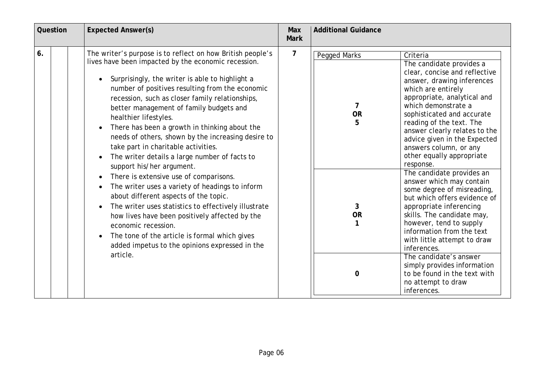| Question | <b>Expected Answer(s)</b>                                                                                                                                                                                                                                                                                                                                                                                                                                                                                                                                                                                                                                                                                                                                                                                                                                                                                                                                                                               | Max<br><b>Mark</b> | <b>Additional Guidance</b>                                                                                                                                                                                                                                                                                                                                                                                                                                                                                                                                                                                                                                                                                                                                                                                                                                           |
|----------|---------------------------------------------------------------------------------------------------------------------------------------------------------------------------------------------------------------------------------------------------------------------------------------------------------------------------------------------------------------------------------------------------------------------------------------------------------------------------------------------------------------------------------------------------------------------------------------------------------------------------------------------------------------------------------------------------------------------------------------------------------------------------------------------------------------------------------------------------------------------------------------------------------------------------------------------------------------------------------------------------------|--------------------|----------------------------------------------------------------------------------------------------------------------------------------------------------------------------------------------------------------------------------------------------------------------------------------------------------------------------------------------------------------------------------------------------------------------------------------------------------------------------------------------------------------------------------------------------------------------------------------------------------------------------------------------------------------------------------------------------------------------------------------------------------------------------------------------------------------------------------------------------------------------|
| 6.       | The writer's purpose is to reflect on how British people's<br>lives have been impacted by the economic recession.<br>Surprisingly, the writer is able to highlight a<br>number of positives resulting from the economic<br>recession, such as closer family relationships,<br>better management of family budgets and<br>healthier lifestyles.<br>There has been a growth in thinking about the<br>$\bullet$<br>needs of others, shown by the increasing desire to<br>take part in charitable activities.<br>The writer details a large number of facts to<br>$\bullet$<br>support his/her argument.<br>There is extensive use of comparisons.<br>The writer uses a variety of headings to inform<br>about different aspects of the topic.<br>The writer uses statistics to effectively illustrate<br>how lives have been positively affected by the<br>economic recession.<br>The tone of the article is formal which gives<br>$\bullet$<br>added impetus to the opinions expressed in the<br>article. | 7                  | <b>Pegged Marks</b><br>Criteria<br>The candidate provides a<br>clear, concise and reflective<br>answer, drawing inferences<br>which are entirely<br>appropriate, analytical and<br>which demonstrate a<br><b>OR</b><br>sophisticated and accurate<br>reading of the text. The<br>answer clearly relates to the<br>advice given in the Expected<br>answers column, or any<br>other equally appropriate<br>response.<br>The candidate provides an<br>answer which may contain<br>some degree of misreading,<br>but which offers evidence of<br>appropriate inferencing<br>3<br><b>OR</b><br>skills. The candidate may,<br>however, tend to supply<br>information from the text<br>with little attempt to draw<br>inferences.<br>The candidate's answer<br>simply provides information<br>to be found in the text with<br>$\Omega$<br>no attempt to draw<br>inferences. |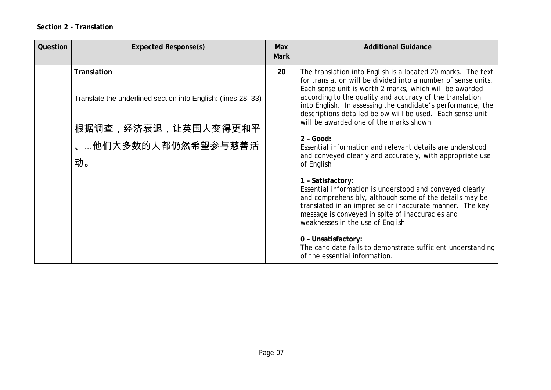### **Section 2 - Translation**

| Question |  | <b>Expected Response(s)</b>                                                                                                    | <b>Max</b><br><b>Mark</b> | <b>Additional Guidance</b>                                                                                                                                                                                                                                                                                                                                                                                                                                                                                                                                                                                                                                                                                                                                                                                                                                                         |
|----------|--|--------------------------------------------------------------------------------------------------------------------------------|---------------------------|------------------------------------------------------------------------------------------------------------------------------------------------------------------------------------------------------------------------------------------------------------------------------------------------------------------------------------------------------------------------------------------------------------------------------------------------------------------------------------------------------------------------------------------------------------------------------------------------------------------------------------------------------------------------------------------------------------------------------------------------------------------------------------------------------------------------------------------------------------------------------------|
|          |  | Translation<br>Translate the underlined section into English: (lines 28-33)<br>根据调查,经济衰退,让英国人变得更和平<br>、他们大多数的人都仍然希望参与慈善活<br>动。 | 20                        | The translation into English is allocated 20 marks. The text<br>for translation will be divided into a number of sense units.<br>Each sense unit is worth 2 marks, which will be awarded<br>according to the quality and accuracy of the translation<br>into English. In assessing the candidate's performance, the<br>descriptions detailed below will be used. Each sense unit<br>will be awarded one of the marks shown.<br>$2 - Good:$<br>Essential information and relevant details are understood<br>and conveyed clearly and accurately, with appropriate use<br>of English<br>1 - Satisfactory:<br>Essential information is understood and conveyed clearly<br>and comprehensibly, although some of the details may be<br>translated in an imprecise or inaccurate manner. The key<br>message is conveyed in spite of inaccuracies and<br>weaknesses in the use of English |
|          |  |                                                                                                                                |                           | 0 - Unsatisfactory:<br>The candidate fails to demonstrate sufficient understanding<br>of the essential information.                                                                                                                                                                                                                                                                                                                                                                                                                                                                                                                                                                                                                                                                                                                                                                |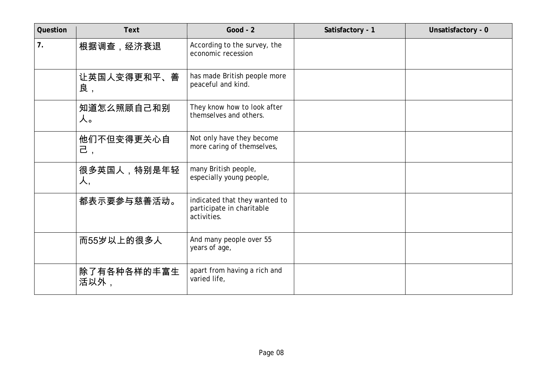| Question | <b>Text</b>         | Good - $2$                                                                | Satisfactory - 1 | Unsatisfactory - 0 |
|----------|---------------------|---------------------------------------------------------------------------|------------------|--------------------|
| 7.       | 根据调查,经济衰退           | According to the survey, the<br>economic recession                        |                  |                    |
|          | 让英国人变得更和平、善<br>良,   | has made British people more<br>peaceful and kind.                        |                  |                    |
|          | 知道怎么照顾自己和别<br>人。    | They know how to look after<br>themselves and others.                     |                  |                    |
|          | 他们不但变得更关心自<br>己,    | Not only have they become<br>more caring of themselves,                   |                  |                    |
|          | 很多英国人,特别是年轻<br>人,   | many British people,<br>especially young people,                          |                  |                    |
|          | 都表示要参与慈善活动。         | indicated that they wanted to<br>participate in charitable<br>activities. |                  |                    |
|          | 而55岁以上的很多人          | And many people over 55<br>years of age,                                  |                  |                    |
|          | 除了有各种各样的丰富生<br>活以外, | apart from having a rich and<br>varied life,                              |                  |                    |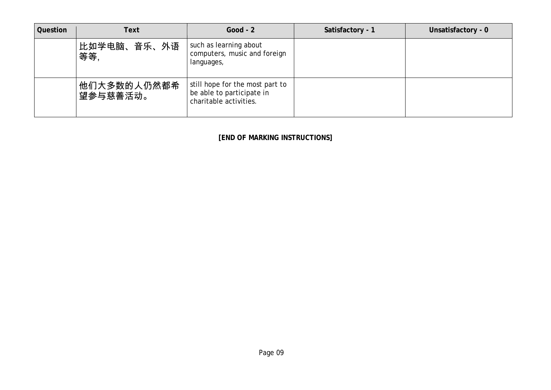| Question | Text                    | Good - $2$                                                                             | Satisfactory - 1 | Unsatisfactory - 0 |
|----------|-------------------------|----------------------------------------------------------------------------------------|------------------|--------------------|
|          | 比如学电脑、音乐、外语<br>等等       | such as learning about<br>computers, music and foreign<br>languages,                   |                  |                    |
|          | 他们大多数的人仍然都希<br>望参与慈善活动。 | still hope for the most part to<br>be able to participate in<br>charitable activities. |                  |                    |

**[END OF MARKING INSTRUCTIONS]**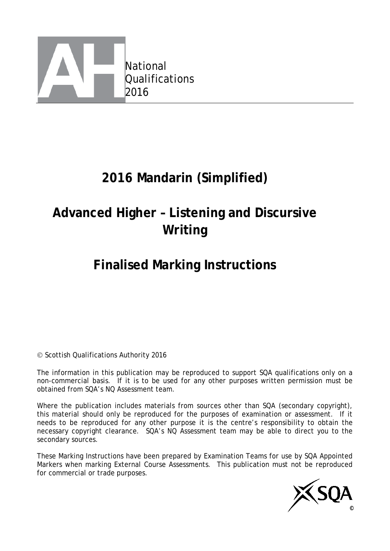

# **2016 Mandarin (Simplified)**

# **Advanced Higher – Listening and Discursive Writing**

# **Finalised Marking Instructions**

#### © Scottish Qualifications Authority 2016

The information in this publication may be reproduced to support SQA qualifications only on a non-commercial basis. If it is to be used for any other purposes written permission must be obtained from SQA's NQ Assessment team.

Where the publication includes materials from sources other than SQA (secondary copyright), this material should only be reproduced for the purposes of examination or assessment. If it needs to be reproduced for any other purpose it is the centre's responsibility to obtain the necessary copyright clearance. SQA's NQ Assessment team may be able to direct you to the secondary sources.

These Marking Instructions have been prepared by Examination Teams for use by SQA Appointed Markers when marking External Course Assessments. This publication must not be reproduced for commercial or trade purposes.

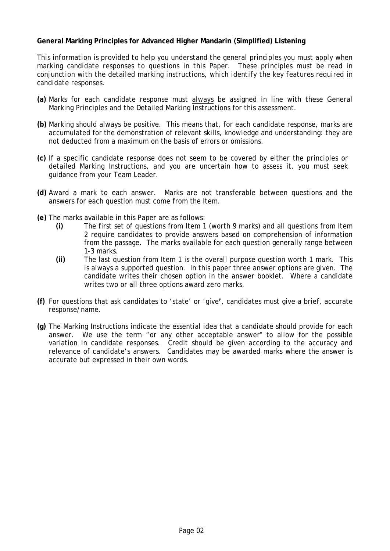#### **General Marking Principles for Advanced Higher Mandarin (Simplified) Listening**

*This information is provided to help you understand the general principles you must apply when marking candidate responses to questions in this Paper. These principles must be read in conjunction with the detailed marking instructions, which identify the key features required in candidate responses.* 

- **(a)** Marks for each candidate response must always be assigned in line with these General Marking Principles and the Detailed Marking Instructions for this assessment.
- **(b)** Marking should always be positive. This means that, for each candidate response, marks are accumulated for the demonstration of relevant skills, knowledge and understanding: they are not deducted from a maximum on the basis of errors or omissions.
- **(c)** If a specific candidate response does not seem to be covered by either the principles or detailed Marking Instructions, and you are uncertain how to assess it, you must seek guidance from your Team Leader.
- **(d)** Award a mark to each answer. Marks are not transferable between questions and the answers for each question must come from the Item.
- **(e)** The marks available in this Paper are as follows:
	- **(i)** The first set of questions from Item 1 (worth 9 marks) and all questions from Item 2 require candidates to provide answers based on comprehension of information from the passage. The marks available for each question generally range between 1-3 marks.
	- **(ii)** The last question from Item 1 is the overall purpose question worth 1 mark. This is always a supported question. In this paper three answer options are given. The candidate writes their chosen option in the answer booklet. Where a candidate writes two or all three options award zero marks.
- **(f)** For questions that ask candidates to 'state' or 'give**'**, candidates must give a brief, accurate response/name.
- **(g)** The Marking Instructions indicate the essential idea that a candidate should provide for each answer. We use the term "or any other acceptable answer" to allow for the possible variation in candidate responses. Credit should be given according to the accuracy and relevance of candidate's answers. Candidates may be awarded marks where the answer is accurate but expressed in their own words.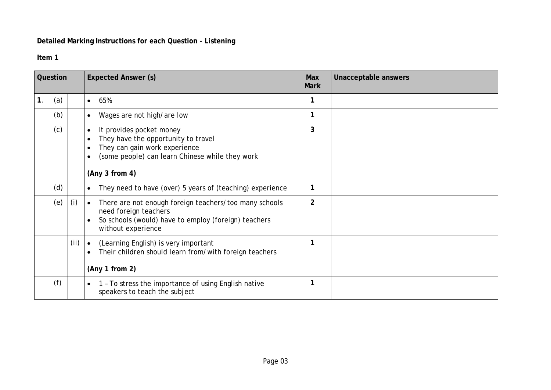### **Detailed Marking Instructions for each Question - Listening**

#### **Item 1**

| Question |     |     | <b>Expected Answer (s)</b>                                                                                                                                                 | <b>Max</b><br><b>Mark</b> | Unacceptable answers |
|----------|-----|-----|----------------------------------------------------------------------------------------------------------------------------------------------------------------------------|---------------------------|----------------------|
| 1.       | (a) |     | 65%<br>$\bullet$                                                                                                                                                           |                           |                      |
|          | (b) |     | Wages are not high/are low<br>$\bullet$                                                                                                                                    |                           |                      |
|          | (c) |     | It provides pocket money<br>They have the opportunity to travel<br>They can gain work experience<br>(some people) can learn Chinese while they work<br>(Any 3 from 4)      | 3                         |                      |
|          | (d) |     | They need to have (over) 5 years of (teaching) experience<br>$\bullet$                                                                                                     |                           |                      |
|          | (e) | (i) | There are not enough foreign teachers/too many schools<br>$\bullet$<br>need foreign teachers<br>So schools (would) have to employ (foreign) teachers<br>without experience | $\overline{2}$            |                      |
|          |     | (i) | (Learning English) is very important<br>Their children should learn from/with foreign teachers<br>(Any 1 from 2)                                                           |                           |                      |
|          | (f) |     | 1 - To stress the importance of using English native<br>$\bullet$<br>speakers to teach the subject                                                                         |                           |                      |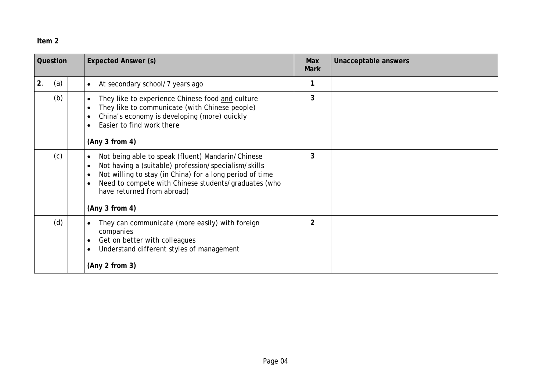### **Item 2**

| Question |     | <b>Expected Answer (s)</b>                                                                                                                                                                                                                                                                 | Max<br><b>Mark</b> | Unacceptable answers |
|----------|-----|--------------------------------------------------------------------------------------------------------------------------------------------------------------------------------------------------------------------------------------------------------------------------------------------|--------------------|----------------------|
| 2.       | (a) | At secondary school/7 years ago<br>$\bullet$                                                                                                                                                                                                                                               |                    |                      |
|          | (b) | They like to experience Chinese food and culture<br>They like to communicate (with Chinese people)<br>China's economy is developing (more) quickly<br>Easier to find work there<br>(Any 3 from 4)                                                                                          | 3                  |                      |
|          | (c) | Not being able to speak (fluent) Mandarin/Chinese<br>$\bullet$<br>Not having a (suitable) profession/specialism/skills<br>Not willing to stay (in China) for a long period of time<br>Need to compete with Chinese students/graduates (who<br>have returned from abroad)<br>(Any 3 from 4) | 3                  |                      |
|          | (d) | They can communicate (more easily) with foreign<br>companies<br>Get on better with colleagues<br>Understand different styles of management<br>$\bullet$<br>(Any 2 from 3)                                                                                                                  | $\overline{2}$     |                      |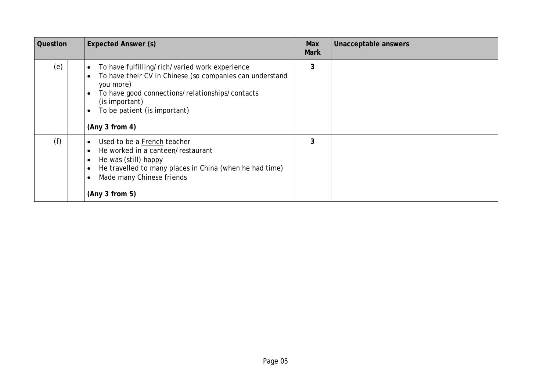| Question |     | <b>Expected Answer (s)</b>                                                                                                                                                                                                                                  | <b>Max</b><br><b>Mark</b> | Unacceptable answers |
|----------|-----|-------------------------------------------------------------------------------------------------------------------------------------------------------------------------------------------------------------------------------------------------------------|---------------------------|----------------------|
|          | (e) | To have fulfilling/rich/varied work experience<br>$\bullet$<br>To have their CV in Chinese (so companies can understand<br>you more)<br>To have good connections/relationships/contacts<br>(is important)<br>To be patient (is important)<br>(Any 3 from 4) | 3                         |                      |
|          | (f) | Used to be a French teacher<br>$\bullet$<br>He worked in a canteen/restaurant<br>He was (still) happy<br>He travelled to many places in China (when he had time)<br>Made many Chinese friends<br>(Any 3 from 5)                                             | 3                         |                      |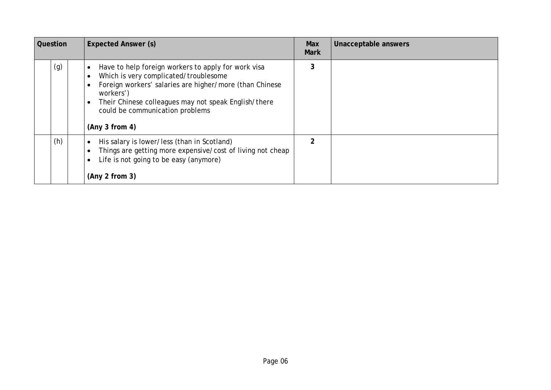| Question | <b>Expected Answer (s)</b>                                                                                                                                                                                                                                                        | Max<br><b>Mark</b> | Unacceptable answers |
|----------|-----------------------------------------------------------------------------------------------------------------------------------------------------------------------------------------------------------------------------------------------------------------------------------|--------------------|----------------------|
| (g)      | Have to help foreign workers to apply for work visa<br>Which is very complicated/troublesome<br>Foreign workers' salaries are higher/more (than Chinese<br>workers')<br>Their Chinese colleagues may not speak English/there<br>could be communication problems<br>(Any 3 from 4) | 3                  |                      |
| (h)      | His salary is lower/less (than in Scotland)<br>Things are getting more expensive/cost of living not cheap<br>Life is not going to be easy (anymore)<br>(Any 2 from 3)                                                                                                             | $\overline{2}$     |                      |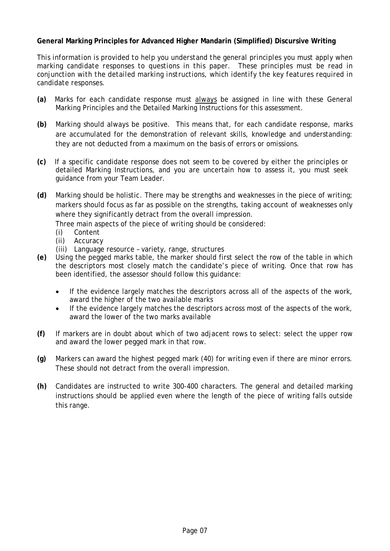#### **General Marking Principles for Advanced Higher Mandarin (Simplified) Discursive Writing**

*This information is provided to help you understand the general principles you must apply when marking candidate responses to questions in this paper. These principles must be read in conjunction with the detailed marking instructions, which identify the key features required in candidate responses.*

- **(a)** Marks for each candidate response must always be assigned in line with these General Marking Principles and the Detailed Marking Instructions for this assessment.
- **(b)** Marking should always be positive. This means that, for each candidate response, marks are accumulated for the demonstration of relevant skills, knowledge and understanding: they are not deducted from a maximum on the basis of errors or omissions.
- **(c)** If a specific candidate response does not seem to be covered by either the principles or detailed Marking Instructions, and you are uncertain how to assess it, you must seek guidance from your Team Leader.
- **(d)** Marking should be holistic. There may be strengths and weaknesses in the piece of writing; markers should focus as far as possible on the strengths, taking account of weaknesses only where they significantly detract from the overall impression.

Three main aspects of the piece of writing should be considered:

- (i) Content
- (ii) Accuracy
- (iii) Language resource variety, range, structures
- **(e)** Using the pegged marks table, the marker should first select the row of the table in which the descriptors most closely match the candidate's piece of writing. Once that row has been identified, the assessor should follow this guidance:
	- If the evidence largely matches the descriptors across all of the aspects of the work, award the higher of the two available marks
	- If the evidence largely matches the descriptors across most of the aspects of the work, award the lower of the two marks available
- **(f)** If markers are in doubt about which of two adjacent rows to select: select the upper row and award the lower pegged mark in that row.
- **(g)** Markers can award the highest pegged mark (40) for writing even if there are minor errors. These should not detract from the overall impression.
- **(h)** Candidates are instructed to write 300-400 characters. The general and detailed marking instructions should be applied even where the length of the piece of writing falls outside this range.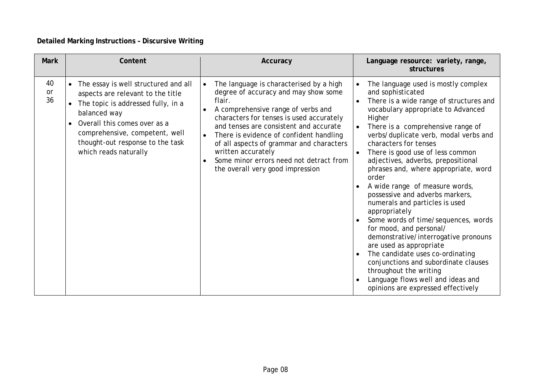### **Detailed Marking Instructions – Discursive Writing**

| <b>Mark</b>           | Content                                                                                                                                                                                                                                                        | Accuracy                                                                                                                                                                                                                                                                                                                                                                                                                                                 | Language resource: variety, range,<br>structures                                                                                                                                                                                                                                                                                                                                                                                                                                                                                                                                                                                                                                                                                                                                                                                                 |
|-----------------------|----------------------------------------------------------------------------------------------------------------------------------------------------------------------------------------------------------------------------------------------------------------|----------------------------------------------------------------------------------------------------------------------------------------------------------------------------------------------------------------------------------------------------------------------------------------------------------------------------------------------------------------------------------------------------------------------------------------------------------|--------------------------------------------------------------------------------------------------------------------------------------------------------------------------------------------------------------------------------------------------------------------------------------------------------------------------------------------------------------------------------------------------------------------------------------------------------------------------------------------------------------------------------------------------------------------------------------------------------------------------------------------------------------------------------------------------------------------------------------------------------------------------------------------------------------------------------------------------|
| 40<br><b>or</b><br>36 | The essay is well structured and all<br>aspects are relevant to the title<br>The topic is addressed fully, in a<br>balanced way<br>Overall this comes over as a<br>comprehensive, competent, well<br>thought-out response to the task<br>which reads naturally | The language is characterised by a high<br>$\bullet$<br>degree of accuracy and may show some<br>flair.<br>A comprehensive range of verbs and<br>$\bullet$<br>characters for tenses is used accurately<br>and tenses are consistent and accurate<br>There is evidence of confident handling<br>$\bullet$<br>of all aspects of grammar and characters<br>written accurately<br>Some minor errors need not detract from<br>the overall very good impression | The language used is mostly complex<br>$\bullet$<br>and sophisticated<br>There is a wide range of structures and<br>vocabulary appropriate to Advanced<br>Higher<br>There is a comprehensive range of<br>verbs/duplicate verb, modal verbs and<br>characters for tenses<br>There is good use of less common<br>adjectives, adverbs, prepositional<br>phrases and, where appropriate, word<br>order<br>A wide range of measure words,<br>possessive and adverbs markers,<br>numerals and particles is used<br>appropriately<br>Some words of time/sequences, words<br>for mood, and personal/<br>demonstrative/interrogative pronouns<br>are used as appropriate<br>The candidate uses co-ordinating<br>conjunctions and subordinate clauses<br>throughout the writing<br>Language flows well and ideas and<br>opinions are expressed effectively |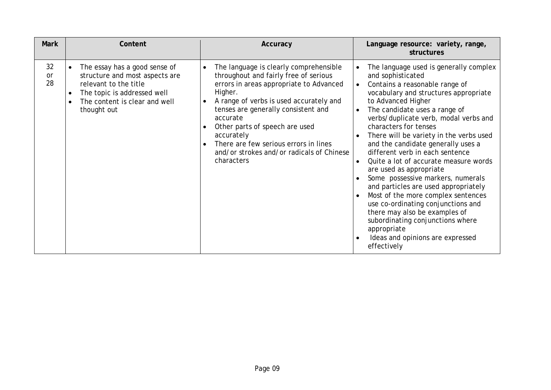| <b>Mark</b>    | Content                                                                                                                                                                 | Accuracy                                                                                                                                                                                                                                                                                                                                                                                | Language resource: variety, range,<br>structures                                                                                                                                                                                                                                                                                                                                                                                                                                                                                                                                                                                                                                                                                                                                               |
|----------------|-------------------------------------------------------------------------------------------------------------------------------------------------------------------------|-----------------------------------------------------------------------------------------------------------------------------------------------------------------------------------------------------------------------------------------------------------------------------------------------------------------------------------------------------------------------------------------|------------------------------------------------------------------------------------------------------------------------------------------------------------------------------------------------------------------------------------------------------------------------------------------------------------------------------------------------------------------------------------------------------------------------------------------------------------------------------------------------------------------------------------------------------------------------------------------------------------------------------------------------------------------------------------------------------------------------------------------------------------------------------------------------|
| 32<br>or<br>28 | The essay has a good sense of<br>structure and most aspects are<br>relevant to the title<br>The topic is addressed well<br>The content is clear and well<br>thought out | The language is clearly comprehensible<br>throughout and fairly free of serious<br>errors in areas appropriate to Advanced<br>Higher.<br>A range of verbs is used accurately and<br>tenses are generally consistent and<br>accurate<br>Other parts of speech are used<br>accurately<br>There are few serious errors in lines<br>and/or strokes and/or radicals of Chinese<br>characters | The language used is generally complex<br>and sophisticated<br>Contains a reasonable range of<br>$\bullet$<br>vocabulary and structures appropriate<br>to Advanced Higher<br>The candidate uses a range of<br>$\bullet$<br>verbs/duplicate verb, modal verbs and<br>characters for tenses<br>There will be variety in the verbs used<br>and the candidate generally uses a<br>different verb in each sentence<br>Quite a lot of accurate measure words<br>$\bullet$<br>are used as appropriate<br>Some possessive markers, numerals<br>and particles are used appropriately<br>Most of the more complex sentences<br>use co-ordinating conjunctions and<br>there may also be examples of<br>subordinating conjunctions where<br>appropriate<br>Ideas and opinions are expressed<br>effectively |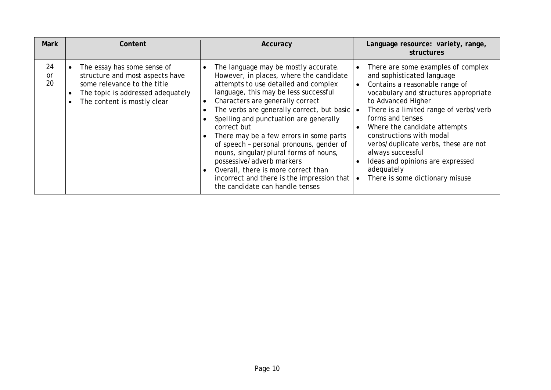| <b>Mark</b>    | Content                                                                                                                                                           | Accuracy                                                                                                                                                                                                                                                                                                                                                                                                                                                                                                                                                                                                          | Language resource: variety, range,<br>structures                                                                                                                                                                                                                                                                                                                                                                                              |
|----------------|-------------------------------------------------------------------------------------------------------------------------------------------------------------------|-------------------------------------------------------------------------------------------------------------------------------------------------------------------------------------------------------------------------------------------------------------------------------------------------------------------------------------------------------------------------------------------------------------------------------------------------------------------------------------------------------------------------------------------------------------------------------------------------------------------|-----------------------------------------------------------------------------------------------------------------------------------------------------------------------------------------------------------------------------------------------------------------------------------------------------------------------------------------------------------------------------------------------------------------------------------------------|
| 24<br>0r<br>20 | The essay has some sense of<br>structure and most aspects have<br>some relevance to the title<br>The topic is addressed adequately<br>The content is mostly clear | The language may be mostly accurate.<br>However, in places, where the candidate<br>attempts to use detailed and complex<br>language, this may be less successful<br>Characters are generally correct<br>The verbs are generally correct, but basic $\cdot$<br>Spelling and punctuation are generally<br>correct but<br>There may be a few errors in some parts<br>of speech - personal pronouns, gender of<br>nouns, singular/plural forms of nouns,<br>possessive/adverb markers<br>Overall, there is more correct than<br>incorrect and there is the impression that $\cdot$<br>the candidate can handle tenses | There are some examples of complex<br>and sophisticated language<br>Contains a reasonable range of<br>vocabulary and structures appropriate<br>to Advanced Higher<br>There is a limited range of verbs/verb<br>forms and tenses<br>Where the candidate attempts<br>constructions with modal<br>verbs/duplicate verbs, these are not<br>always successful<br>Ideas and opinions are expressed<br>adequately<br>There is some dictionary misuse |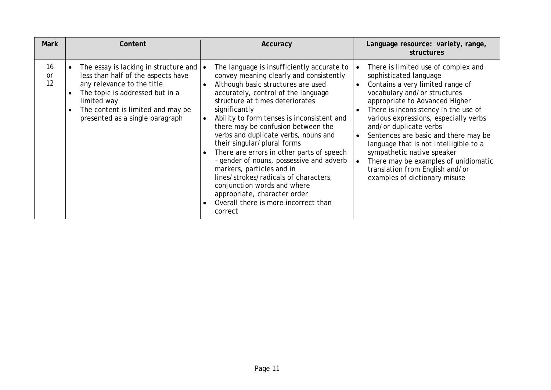| <b>Mark</b>    | Content                                                                                                                                                                                                                                                    | Accuracy                                                                                                                                                                                                                                                                                                                                                                                                                                                                                                                                                                                                                                                           | Language resource: variety, range,<br>structures                                                                                                                                                                                                                                                                                                                                                                                                                                                           |
|----------------|------------------------------------------------------------------------------------------------------------------------------------------------------------------------------------------------------------------------------------------------------------|--------------------------------------------------------------------------------------------------------------------------------------------------------------------------------------------------------------------------------------------------------------------------------------------------------------------------------------------------------------------------------------------------------------------------------------------------------------------------------------------------------------------------------------------------------------------------------------------------------------------------------------------------------------------|------------------------------------------------------------------------------------------------------------------------------------------------------------------------------------------------------------------------------------------------------------------------------------------------------------------------------------------------------------------------------------------------------------------------------------------------------------------------------------------------------------|
| 16<br>or<br>12 | The essay is lacking in structure and $\bullet$<br>less than half of the aspects have<br>any relevance to the title<br>The topic is addressed but in a<br>limited way<br>The content is limited and may be<br>$\bullet$<br>presented as a single paragraph | The language is insufficiently accurate to<br>convey meaning clearly and consistently<br>Although basic structures are used<br>accurately, control of the language<br>structure at times deteriorates<br>significantly<br>Ability to form tenses is inconsistent and<br>there may be confusion between the<br>verbs and duplicate verbs, nouns and<br>their singular/plural forms<br>There are errors in other parts of speech<br>- gender of nouns, possessive and adverb<br>markers, particles and in<br>lines/strokes/radicals of characters,<br>conjunction words and where<br>appropriate, character order<br>Overall there is more incorrect than<br>correct | There is limited use of complex and<br>sophisticated language<br>Contains a very limited range of<br>vocabulary and/or structures<br>appropriate to Advanced Higher<br>There is inconsistency in the use of<br>various expressions, especially verbs<br>and/or duplicate verbs<br>Sentences are basic and there may be<br>language that is not intelligible to a<br>sympathetic native speaker<br>There may be examples of unidiomatic<br>translation from English and/or<br>examples of dictionary misuse |